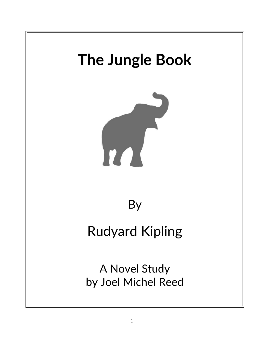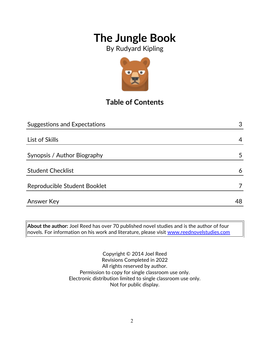By Rudyard Kipling



## **Table of Contents**

| <b>Suggestions and Expectations</b> | 3  |
|-------------------------------------|----|
|                                     |    |
| List of Skills                      | 4  |
|                                     |    |
| Synopsis / Author Biography         | 5  |
|                                     |    |
| <b>Student Checklist</b>            | 6  |
| Reproducible Student Booklet        |    |
|                                     |    |
| <b>Answer Key</b>                   | 48 |

**About the author:** Joel Reed has over 70 published novel studies and is the author of four novels. For information on his work and literature, please visit [www.reednovelstudies.com](http://www.reednovelstudies.com/)

> Copyright © 2014 Joel Reed Revisions Completed in 2022 All rights reserved by author. Permission to copy for single classroom use only. Electronic distribution limited to single classroom use only. Not for public display.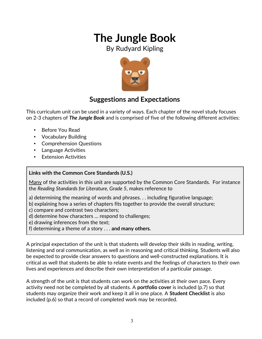By Rudyard Kipling



### **Suggestions and Expectations**

This curriculum unit can be used in a variety of ways. Each chapter of the novel study focuses on 2-3 chapters of *The Jungle Book* and is comprised of five of the following different activities:

- Before You Read
- Vocabulary Building
- Comprehension Questions
- Language Activities
- **Extension Activities**

#### **Links with the Common Core Standards (U.S.)**

Many of the activities in this unit are supported by the Common Core Standards. For instance the *Reading Standards for Literature, Grade 5*, makes reference to

- a) determining the meaning of words and phrases. . . including figurative language;
- b) explaining how a series of chapters fits together to provide the overall structure;
- c) compare and contrast two characters;
- d) determine how characters … respond to challenges;
- e) drawing inferences from the text;
- f) determining a theme of a story . . . **and many others.**

A principal expectation of the unit is that students will develop their skills in reading, writing, listening and oral communication, as well as in reasoning and critical thinking. Students will also be expected to provide clear answers to questions and well-constructed explanations. It is critical as well that students be able to relate events and the feelings of characters to their own lives and experiences and describe their own interpretation of a particular passage.

A strength of the unit is that students can work on the activities at their own pace. Every activity need not be completed by all students. A **portfolio cover** is included (p.7) so that students may organize their work and keep it all in one place. A **Student Checklist** is also included (p.6) so that a record of completed work may be recorded.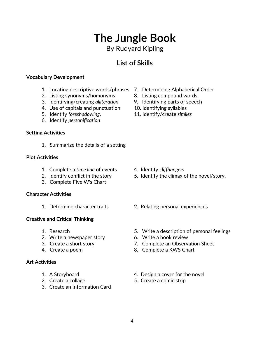By Rudyard Kipling

### **List of Skills**

#### **Vocabulary Development**

- 1. Locating descriptive words/phrases 7. Determining Alphabetical Order
- 2. Listing synonyms/homonyms 8. Listing compound words
- 3. Identifying/creating *alliteration* 9. Identifying parts of speech
- 4. Use of capitals and punctuation 10. Identifying syllables
- 
- 6. Identify *personification*

#### **Setting Activities**

1. Summarize the details of a setting

#### **Plot Activities**

- 1. Complete a *time line* of events 4. Identify *cliffhangers*
- 
- 3. Complete Five W's Chart

#### **Character Activities**

#### **Creative and Critical Thinking**

- 
- 2. Write a newspaper story 6. Write a book review
- 
- 

#### **Art Activities**

- 
- 
- 3. Create an Information Card
- 
- 
- 
- 
- 5. Identify *foreshadowing*. 11. Identify/create *similes*

- 
- 2. Identify conflict in the story 5. Identify the climax of the novel/story.
- 1. Determine character traits 2. Relating personal experiences
- 1. Research 5. Write a description of personal feelings
	-
- 3. Create a short story 7. Complete an Observation Sheet
- 4. Create a poem 8. Complete a KWS Chart
- 1. A Storyboard **1.** A Storyboard **1.** A Storyboard
- 2. Create a collage 5. Create a comic strip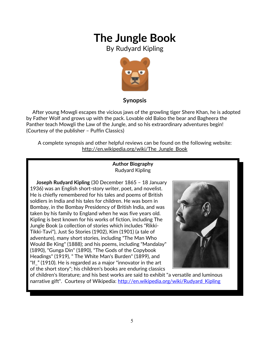By Rudyard Kipling



#### **Synopsis**

 After young Mowgli escapes the vicious jaws of the growling tiger Shere Khan, he is adopted by Father Wolf and grows up with the pack. Lovable old Baloo the bear and Bagheera the Panther teach Mowgli the Law of the Jungle, and so his extraordinary adventures begin! (Courtesy of the publisher – Puffin Classics)

A complete synopsis and other helpful reviews can be found on the following website: http://en.wikipedia.org/wiki/The\_Jungle\_Book

#### **Author Biography** Rudyard Kipling

 **Joseph Rudyard Kipling** (30 December 1865 – 18 January 1936) was an English short-story writer, poet, and novelist. He is chiefly remembered for his tales and poems of British soldiers in India and his tales for children. He was born in Bombay, in the Bombay Presidency of British India, and was taken by his family to England when he was five years old. Kipling is best known for his works of fiction, including The Jungle Book (a collection of stories which includes "Rikki-Tikki-Tavi"), Just So Stories (1902), Kim (1901) (a tale of adventure), many short stories, including "The Man Who Would Be King" (1888); and his poems, including "Mandalay" (1890), "Gunga Din" (1890), "The Gods of the Copybook Headings" (1919), " The White Man's Burden" (1899), and "If " (1910). He is regarded as a major "innovator in the art of the short story"; his children's books are enduring classics



of children's literature; and his best works are said to exhibit "a versatile and luminous narrative gift". Courtesy of Wikipedia: http://en.wikipedia.org/wiki/Rudyard Kipling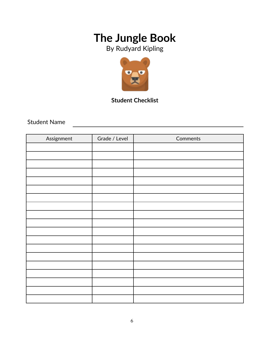By Rudyard Kipling



### **Student Checklist**

Student Name

| Assignment | Grade / Level | Comments |
|------------|---------------|----------|
|            |               |          |
|            |               |          |
|            |               |          |
|            |               |          |
|            |               |          |
|            |               |          |
|            |               |          |
|            |               |          |
|            |               |          |
|            |               |          |
|            |               |          |
|            |               |          |
|            |               |          |
|            |               |          |
|            |               |          |
|            |               |          |
|            |               |          |
|            |               |          |
|            |               |          |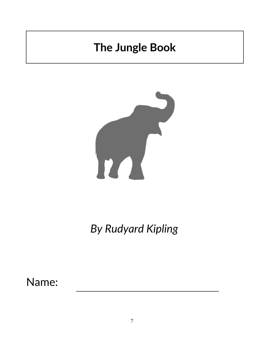

*By Rudyard Kipling*

Name: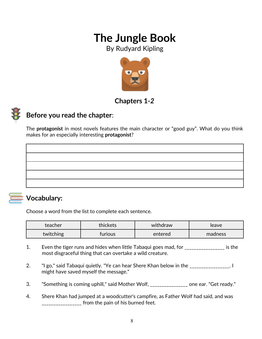By Rudyard Kipling



### **Chapters 1***-2*



### **Before you read the chapter**:

The **protagonist** in most novels features the main character or "good guy". What do you think makes for an especially interesting **protagonist**?



### **Vocabulary:**

Choose a word from the list to complete each sentence.

| teacher   | thickets | withdraw | leave   |
|-----------|----------|----------|---------|
| twitching | furious  | entered  | madness |

- 1. Even the tiger runs and hides when little Tabaqui goes mad, for \_\_\_\_\_\_\_\_\_\_\_\_\_\_\_\_\_ is the most disgraceful thing that can overtake a wild creature.
- 2. "I go," said Tabaqui quietly. "Ye can hear Shere Khan below in the \_\_\_\_\_\_\_\_\_\_\_\_\_\_\_\_\_. I might have saved myself the message."
- 3. Something is coming uphill," said Mother Wolf, \_\_\_\_\_\_\_\_\_\_\_\_\_\_\_ one ear. "Get ready."
- 4. Shere Khan had jumped at a woodcutter's campfire, as Father Wolf had said, and was \_\_\_\_\_\_\_\_\_\_\_\_\_\_\_\_\_\_\_ from the pain of his burned feet.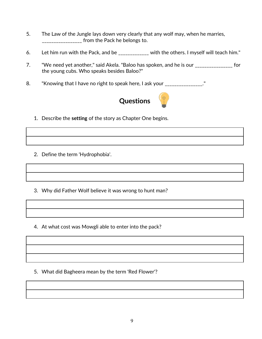- 5. The Law of the Jungle lays down very clearly that any wolf may, when he marries, \_\_\_\_\_\_\_\_\_\_\_\_\_\_\_\_\_\_ from the Pack he belongs to.
- 6. Let him run with the Pack, and be \_\_\_\_\_\_\_\_\_\_\_\_\_ with the others. I myself will teach him."
- 7. "We need yet another," said Akela. "Baloo has spoken, and he is our \_\_\_\_\_\_\_\_\_\_\_\_\_\_\_\_\_ for the young cubs. Who speaks besides Baloo?"
- 8. "Knowing that I have no right to speak here, I ask your \_\_\_\_\_\_\_\_\_\_\_\_\_\_\_\_."



- 1. Describe the **setting** of the story as Chapter One begins.
- 2. Define the term 'Hydrophobia'.
- 3. Why did Father Wolf believe it was wrong to hunt man?
- 4. At what cost was Mowgli able to enter into the pack?

5. What did Bagheera mean by the term 'Red Flower'?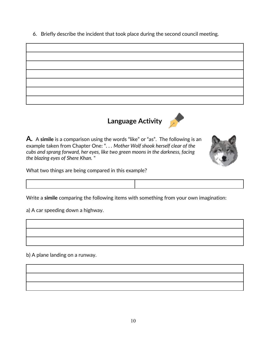6. Briefly describe the incident that took place during the second council meeting.



# **Language Activity**



**A.** A **simile** is a comparison using the words "like" or "as". The following is an example taken from Chapter One: ". . . *Mother Wolf shook herself clear of the cubs and sprang forward, her eyes, like two green moons in the darkness, facing the blazing eyes of Shere Khan.* "

What two things are being compared in this example?



a) A car speeding down a highway.

b) A plane landing on a runway.

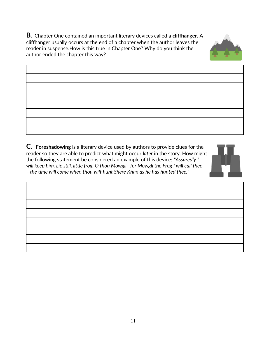**B**. Chapter One contained an important literary devices called a **cliffhanger**. A cliffhanger usually occurs at the end of a chapter when the author leaves the reader in suspense.How is this true in Chapter One? Why do you think the author ended the chapter this way?



| <u> 1989 - Johann Stoff, deutscher Stoff, der Stoff, der Stoff, der Stoff, der Stoff, der Stoff, der Stoff, der S</u> |  |  |
|-----------------------------------------------------------------------------------------------------------------------|--|--|
|                                                                                                                       |  |  |
| <u> 1980 - Johann Barn, amerikansk politiker (d. 1980)</u>                                                            |  |  |

**C. Foreshadowing** is a literary device used by authors to provide clues for the reader so they are able to predict what might occur *later* in the story. How might the following statement be considered an example of this device: *"Assuredly I will keep him. Lie still, little frog. O thou Mowgli—for Mowgli the Frog I will call thee —the time will come when thou wilt hunt Shere Khan as he has hunted thee."*